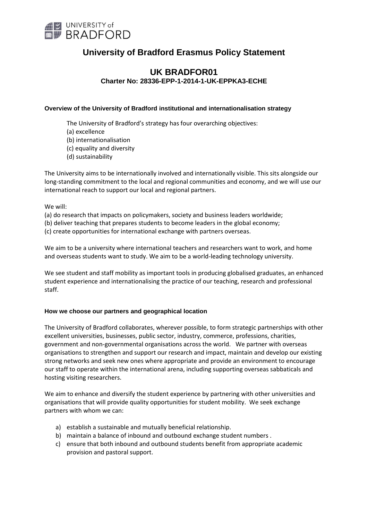

# **University of Bradford Erasmus Policy Statement**

# **UK BRADFOR01 Charter No: 28336-EPP-1-2014-1-UK-EPPKA3-ECHE**

#### **Overview of the University of Bradford institutional and internationalisation strategy**

The University of Bradford's strategy has four overarching objectives:

- (a) excellence
- (b) internationalisation
- (c) equality and diversity
- (d) sustainability

The University aims to be internationally involved and internationally visible. This sits alongside our long-standing commitment to the local and regional communities and economy, and we will use our international reach to support our local and regional partners.

We will:

- (a) do research that impacts on policymakers, society and business leaders worldwide;
- (b) deliver teaching that prepares students to become leaders in the global economy;

(c) create opportunities for international exchange with partners overseas.

We aim to be a university where international teachers and researchers want to work, and home and overseas students want to study. We aim to be a world-leading technology university.

We see student and staff mobility as important tools in producing globalised graduates, an enhanced student experience and internationalising the practice of our teaching, research and professional staff.

#### **How we choose our partners and geographical location**

The University of Bradford collaborates, wherever possible, to form strategic partnerships with other excellent universities, businesses, public sector, industry, commerce, professions, charities, government and non-governmental organisations across the world. We partner with overseas organisations to strengthen and support our research and impact, maintain and develop our existing strong networks and seek new ones where appropriate and provide an environment to encourage our staff to operate within the international arena, including supporting overseas sabbaticals and hosting visiting researchers.

We aim to enhance and diversify the student experience by partnering with other universities and organisations that will provide quality opportunities for student mobility. We seek exchange partners with whom we can:

- a) establish a sustainable and mutually beneficial relationship.
- b) maintain a balance of inbound and outbound exchange student numbers .
- c) ensure that both inbound and outbound students benefit from appropriate academic provision and pastoral support.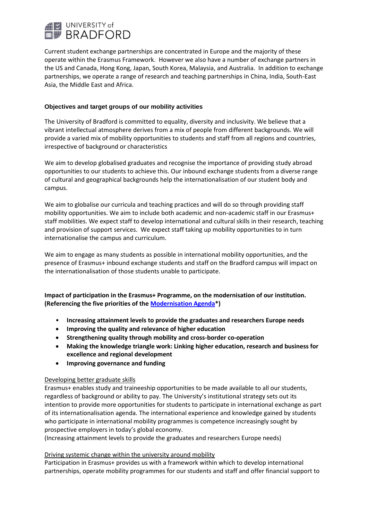

Current student exchange partnerships are concentrated in Europe and the majority of these operate within the Erasmus Framework. However we also have a number of exchange partners in the US and Canada, Hong Kong, Japan, South Korea, Malaysia, and Australia. In addition to exchange partnerships, we operate a range of research and teaching partnerships in China, India, South-East Asia, the Middle East and Africa.

## **Objectives and target groups of our mobility activities**

The University of Bradford is committed to equality, diversity and inclusivity. We believe that a vibrant intellectual atmosphere derives from a mix of people from different backgrounds. We will provide a varied mix of mobility opportunities to students and staff from all regions and countries, irrespective of background or characteristics

We aim to develop globalised graduates and recognise the importance of providing study abroad opportunities to our students to achieve this. Our inbound exchange students from a diverse range of cultural and geographical backgrounds help the internationalisation of our student body and campus.

We aim to globalise our curricula and teaching practices and will do so through providing staff mobility opportunities. We aim to include both academic and non-academic staff in our Erasmus+ staff mobilities. We expect staff to develop international and cultural skills in their research, teaching and provision of support services. We expect staff taking up mobility opportunities to in turn internationalise the campus and curriculum.

We aim to engage as many students as possible in international mobility opportunities, and the presence of Erasmus+ inbound exchange students and staff on the Bradford campus will impact on the internationalisation of those students unable to participate.

**Impact of participation in the Erasmus+ Programme, on the modernisation of our institution. (Referencing the five priorities of the Modernisation Agenda\*)** 

- **Increasing attainment levels to provide the graduates and researchers Europe needs**
- **Improving the quality and relevance of higher education**
- **Strengthening quality through mobility and cross-border co-operation**
- **Making the knowledge triangle work: Linking higher education, research and business for excellence and regional development**
- **Improving governance and funding**

#### Developing better graduate skills

Erasmus+ enables study and traineeship opportunities to be made available to all our students, regardless of background or ability to pay. The University's institutional strategy sets out its intention to provide more opportunities for students to participate in international exchange as part of its internationalisation agenda. The international experience and knowledge gained by students who participate in international mobility programmes is competence increasingly sought by prospective employers in today's global economy.

(Increasing attainment levels to provide the graduates and researchers Europe needs)

#### Driving systemic change within the university around mobility

Participation in Erasmus+ provides us with a framework within which to develop international partnerships, operate mobility programmes for our students and staff and offer financial support to